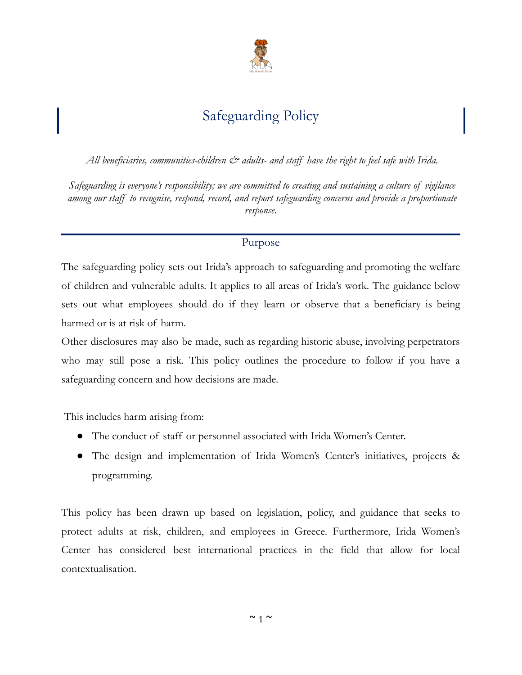

# Safeguarding Policy

*All beneficiaries, communities-children & adults- and staf have the right to feel safe with Irida.*

*Safeguarding is everyone's responsibility; we are committed to creating and sustaining a culture of vigilance among our staf to recognise, respond, record, and report safeguarding concerns and provide a proportionate response.*

## Purpose

The safeguarding policy sets out Irida's approach to safeguarding and promoting the welfare of children and vulnerable adults. It applies to all areas of Irida's work. The guidance below sets out what employees should do if they learn or observe that a beneficiary is being harmed or is at risk of harm.

Other disclosures may also be made, such as regarding historic abuse, involving perpetrators who may still pose a risk. This policy outlines the procedure to follow if you have a safeguarding concern and how decisions are made.

This includes harm arising from:

- The conduct of staff or personnel associated with Irida Women's Center.
- The design and implementation of Irida Women's Center's initiatives, projects & programming.

This policy has been drawn up based on legislation, policy, and guidance that seeks to protect adults at risk, children, and employees in Greece. Furthermore, Irida Women's Center has considered best international practices in the field that allow for local contextualisation.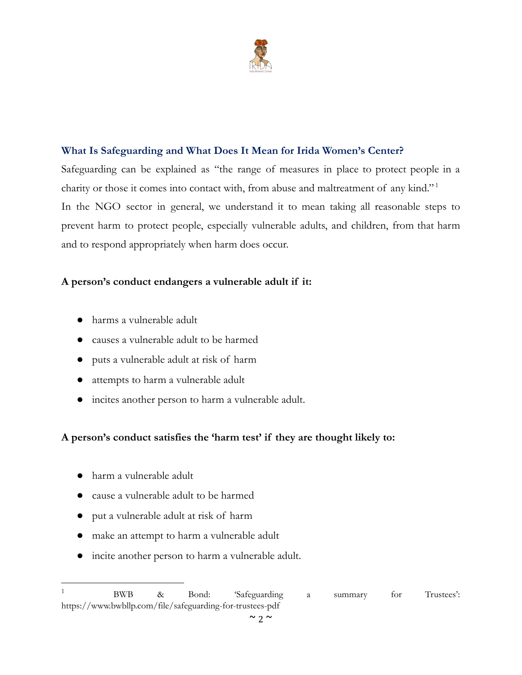

### **What Is Safeguarding and What Does It Mean for Irida Women's Center?**

Safeguarding can be explained as "the range of measures in place to protect people in a charity or those it comes into contact with, from abuse and maltreatment of any kind."<sup>1</sup> In the NGO sector in general, we understand it to mean taking all reasonable steps to prevent harm to protect people, especially vulnerable adults, and children, from that harm and to respond appropriately when harm does occur.

#### **A person's conduct endangers a vulnerable adult if it:**

- harms a vulnerable adult
- causes a vulnerable adult to be harmed
- puts a vulnerable adult at risk of harm
- attempts to harm a vulnerable adult
- incites another person to harm a vulnerable adult.

#### **A person's conduct satisfies the 'harm test' if they are thought likely to:**

- harm a vulnerable adult
- cause a vulnerable adult to be harmed
- put a vulnerable adult at risk of harm
- make an attempt to harm a vulnerable adult
- incite another person to harm a vulnerable adult.

<sup>1</sup> BWB & Bond: 'Safeguarding a summary for Trustees': https://www.bwbllp.com/file/safeguarding-for-trustees-pdf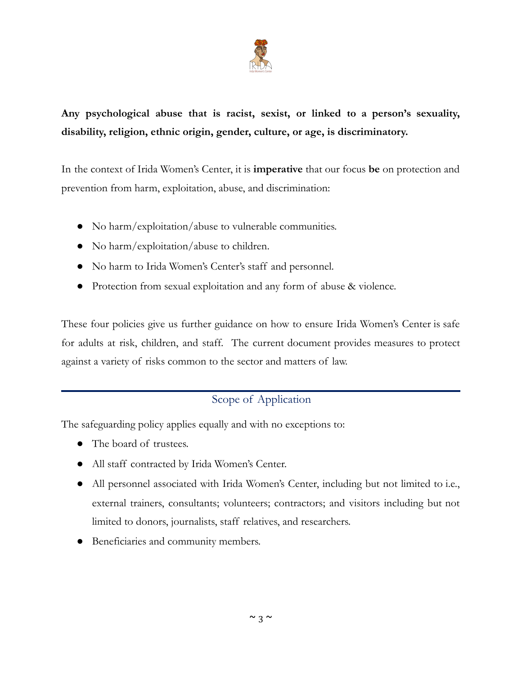

**Any psychological abuse that is racist, sexist, or linked to a person's sexuality, disability, religion, ethnic origin, gender, culture, or age, is discriminatory.**

In the context of Irida Women's Center, it is **imperative** that our focus **be** on protection and prevention from harm, exploitation, abuse, and discrimination:

- No harm/exploitation/abuse to vulnerable communities.
- No harm/exploitation/abuse to children.
- No harm to Irida Women's Center's staff and personnel.
- Protection from sexual exploitation and any form of abuse & violence.

These four policies give us further guidance on how to ensure Irida Women's Center is safe for adults at risk, children, and staff. The current document provides measures to protect against a variety of risks common to the sector and matters of law.

# Scope of Application

The safeguarding policy applies equally and with no exceptions to:

- The board of trustees.
- All staff contracted by Irida Women's Center.
- All personnel associated with Irida Women's Center, including but not limited to i.e., external trainers, consultants; volunteers; contractors; and visitors including but not limited to donors, journalists, staff relatives, and researchers.
- Beneficiaries and community members.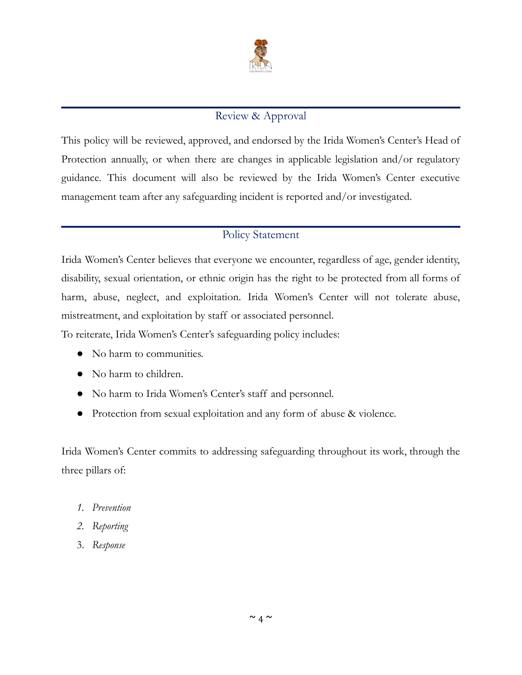

# Review & Approval

This policy will be reviewed, approved, and endorsed by the Irida Women's Center's Head of Protection annually, or when there are changes in applicable legislation and/or regulatory guidance. This document will also be reviewed by the Irida Women's Center executive management team after any safeguarding incident is reported and/or investigated.

# Policy Statement

Irida Women's Center believes that everyone we encounter, regardless of age, gender identity, disability, sexual orientation, or ethnic origin has the right to be protected from all forms of harm, abuse, neglect, and exploitation. Irida Women's Center will not tolerate abuse, mistreatment, and exploitation by staff or associated personnel.

To reiterate, Irida Women's Center's safeguarding policy includes:

- No harm to communities.
- No harm to children.
- No harm to Irida Women's Center's staff and personnel.
- Protection from sexual exploitation and any form of abuse & violence.

Irida Women's Center commits to addressing safeguarding throughout its work, through the three pillars of:

- *1. Prevention*
- *2. Reporting*
- 3. *Response*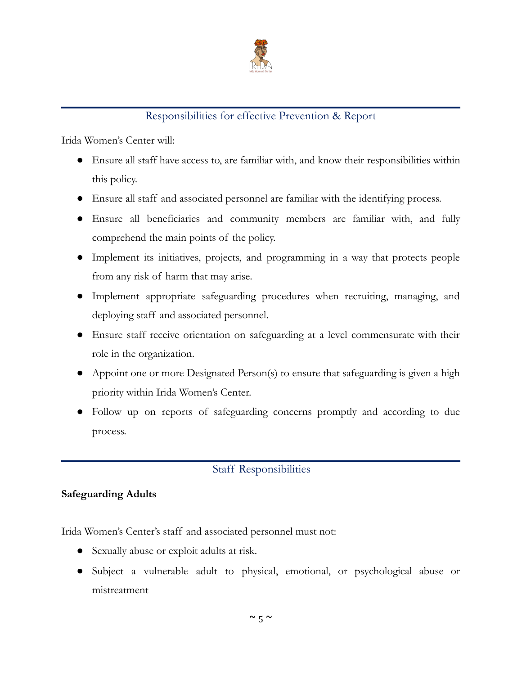

# Responsibilities for effective Prevention & Report

Irida Women's Center will:

- Ensure all staff have access to, are familiar with, and know their responsibilities within this policy.
- Ensure all staff and associated personnel are familiar with the identifying process.
- Ensure all beneficiaries and community members are familiar with, and fully comprehend the main points of the policy.
- Implement its initiatives, projects, and programming in a way that protects people from any risk of harm that may arise.
- Implement appropriate safeguarding procedures when recruiting, managing, and deploying staff and associated personnel.
- Ensure staff receive orientation on safeguarding at a level commensurate with their role in the organization.
- Appoint one or more Designated Person(s) to ensure that safeguarding is given a high priority within Irida Women's Center.
- Follow up on reports of safeguarding concerns promptly and according to due process.

# Staff Responsibilities

## **Safeguarding Adults**

Irida Women's Center's staff and associated personnel must not:

- Sexually abuse or exploit adults at risk.
- Subject a vulnerable adult to physical, emotional, or psychological abuse or mistreatment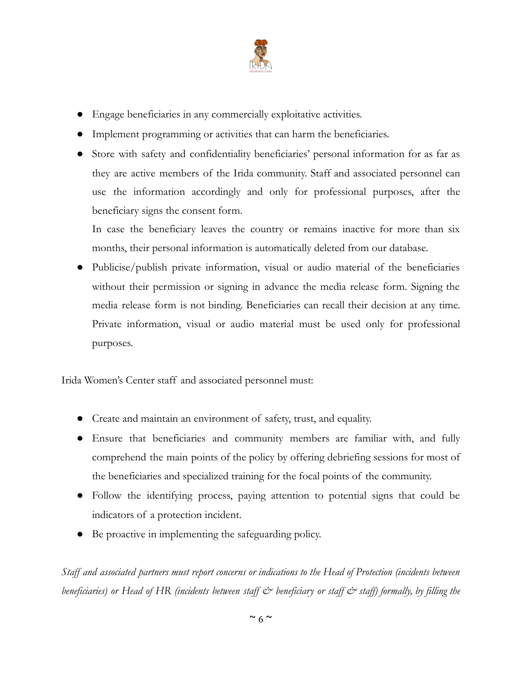

- Engage beneficiaries in any commercially exploitative activities.
- Implement programming or activities that can harm the beneficiaries.
- Store with safety and confidentiality beneficiaries' personal information for as far as they are active members of the Irida community. Staff and associated personnel can use the information accordingly and only for professional purposes, after the beneficiary signs the consent form.

In case the beneficiary leaves the country or remains inactive for more than six months, their personal information is automatically deleted from our database.

Publicise/publish private information, visual or audio material of the beneficiaries without their permission or signing in advance the media release form. Signing the media release form is not binding. Beneficiaries can recall their decision at any time. Private information, visual or audio material must be used only for professional purposes.

Irida Women's Center staff and associated personnel must:

- Create and maintain an environment of safety, trust, and equality.
- Ensure that beneficiaries and community members are familiar with, and fully comprehend the main points of the policy by offering debriefing sessions for most of the beneficiaries and specialized training for the focal points of the community.
- Follow the identifying process, paying attention to potential signs that could be indicators of a protection incident.
- Be proactive in implementing the safeguarding policy.

*Staf and associated partners must report concerns or indications to the Head of Protection (incidents between* beneficiaries) or Head of HR (incidents between staff  $\mathcal{C}^*$  beneficiary or staff  $\mathcal{C}^*$  staff) formally, by filling the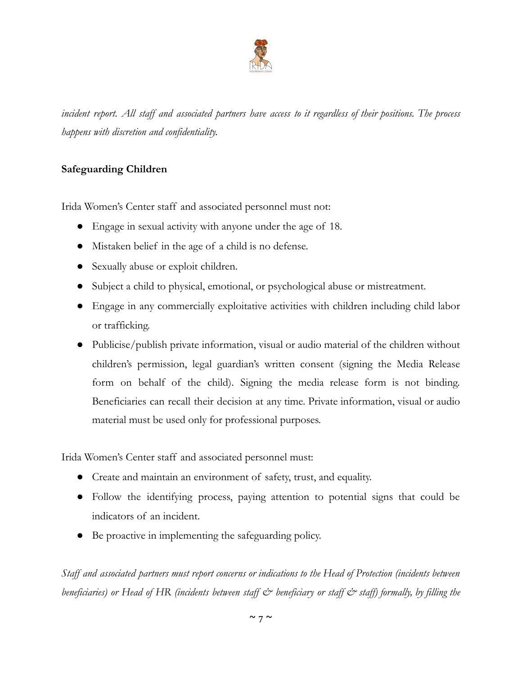

incident report. All staff and associated partners have access to it regardless of their positions. The process *happens with discretion and confidentiality.*

## **Safeguarding Children**

Irida Women's Center staff and associated personnel must not:

- Engage in sexual activity with anyone under the age of 18.
- Mistaken belief in the age of a child is no defense.
- Sexually abuse or exploit children.
- Subject a child to physical, emotional, or psychological abuse or mistreatment.
- Engage in any commercially exploitative activities with children including child labor or trafficking.
- **●** Publicise/publish private information, visual or audio material of the children without children's permission, legal guardian's written consent (signing the Media Release form on behalf of the child). Signing the media release form is not binding. Beneficiaries can recall their decision at any time. Private information, visual or audio material must be used only for professional purposes.

Irida Women's Center staff and associated personnel must:

- Create and maintain an environment of safety, trust, and equality.
- Follow the identifying process, paying attention to potential signs that could be indicators of an incident.
- Be proactive in implementing the safeguarding policy.

*Staf and associated partners must report concerns or indications to the Head of Protection (incidents between* beneficiaries) or Head of HR (incidents between staff  $\mathcal{C}^*$  beneficiary or staff  $\mathcal{C}^*$  staff) formally, by filling the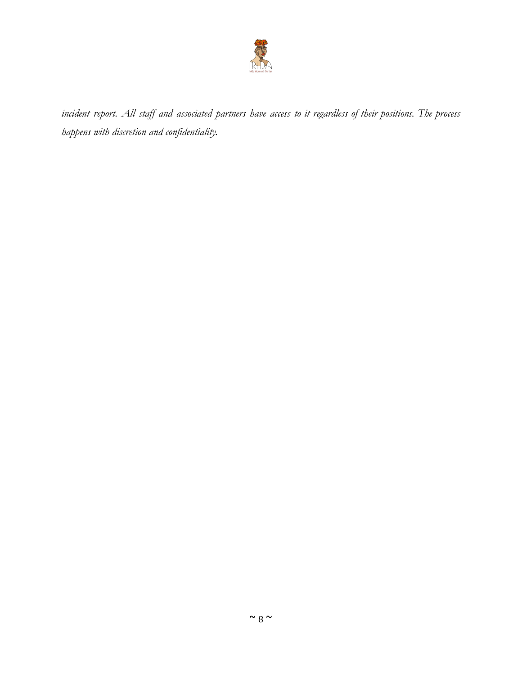

incident report. All staff and associated partners have access to it regardless of their positions. The process *happens with discretion and confidentiality.*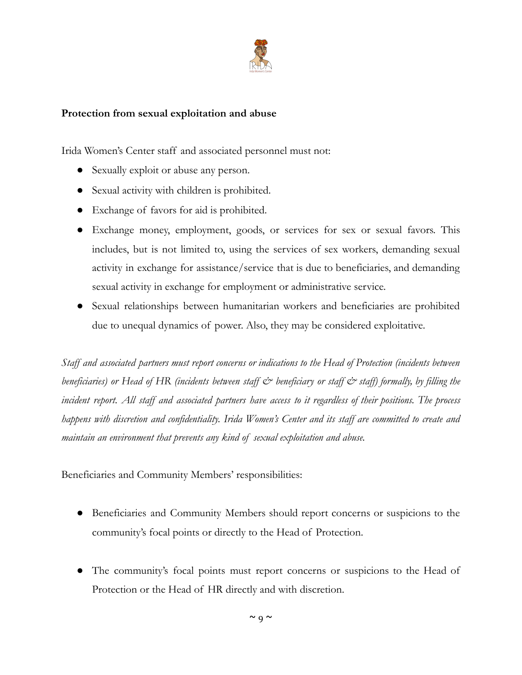

#### **Protection from sexual exploitation and abuse**

Irida Women's Center staff and associated personnel must not:

- Sexually exploit or abuse any person.
- Sexual activity with children is prohibited.
- Exchange of favors for aid is prohibited.
- Exchange money, employment, goods, or services for sex or sexual favors. This includes, but is not limited to, using the services of sex workers, demanding sexual activity in exchange for assistance/service that is due to beneficiaries, and demanding sexual activity in exchange for employment or administrative service.
- Sexual relationships between humanitarian workers and beneficiaries are prohibited due to unequal dynamics of power. Also, they may be considered exploitative.

*Staf and associated partners must report concerns or indications to the Head of Protection (incidents between* beneficiaries) or Head of HR (incidents between staff  $\mathcal{C}^*$  beneficiary or staff  $\mathcal{C}^*$  staff) formally, by filling the incident report. All staff and associated partners have access to it regardless of their positions. The process *happens with discretion and confidentiality. Irida Women's Center and its staf are committed to create and maintain an environment that prevents any kind of sexual exploitation and abuse.*

Beneficiaries and Community Members' responsibilities:

- Beneficiaries and Community Members should report concerns or suspicions to the community's focal points or directly to the Head of Protection.
- The community's focal points must report concerns or suspicions to the Head of Protection or the Head of HR directly and with discretion.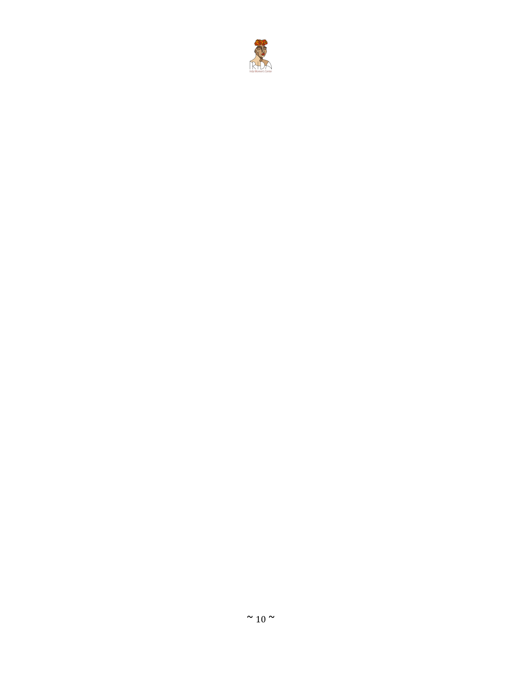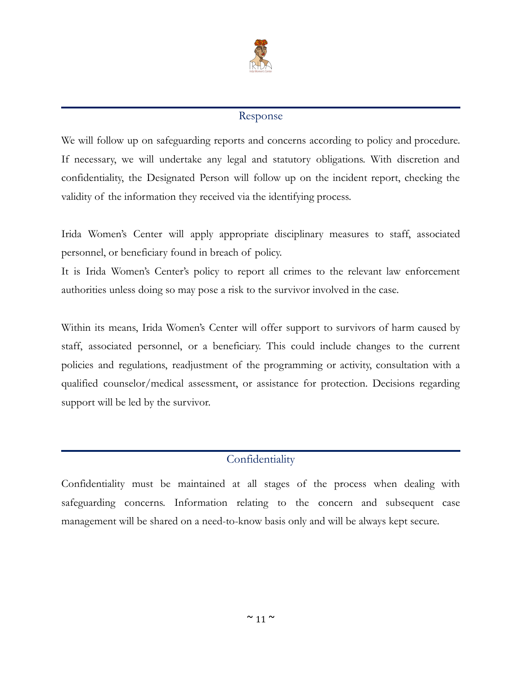

#### Response

We will follow up on safeguarding reports and concerns according to policy and procedure. If necessary, we will undertake any legal and statutory obligations. With discretion and confidentiality, the Designated Person will follow up on the incident report, checking the validity of the information they received via the identifying process.

Irida Women's Center will apply appropriate disciplinary measures to staff, associated personnel, or beneficiary found in breach of policy.

It is Irida Women's Center's policy to report all crimes to the relevant law enforcement authorities unless doing so may pose a risk to the survivor involved in the case.

Within its means, Irida Women's Center will offer support to survivors of harm caused by staff, associated personnel, or a beneficiary. This could include changes to the current policies and regulations, readjustment of the programming or activity, consultation with a qualified counselor/medical assessment, or assistance for protection. Decisions regarding support will be led by the survivor.

# Confidentiality

Confidentiality must be maintained at all stages of the process when dealing with safeguarding concerns. Information relating to the concern and subsequent case management will be shared on a need-to-know basis only and will be always kept secure.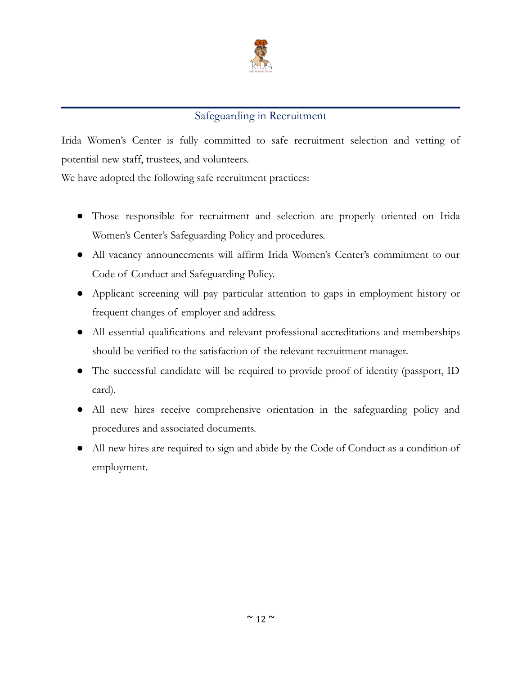

### Safeguarding in Recruitment

Irida Women's Center is fully committed to safe recruitment selection and vetting of potential new staff, trustees, and volunteers.

We have adopted the following safe recruitment practices:

- Those responsible for recruitment and selection are properly oriented on Irida Women's Center's Safeguarding Policy and procedures.
- All vacancy announcements will affirm Irida Women's Center's commitment to our Code of Conduct and Safeguarding Policy.
- Applicant screening will pay particular attention to gaps in employment history or frequent changes of employer and address.
- All essential qualifications and relevant professional accreditations and memberships should be verified to the satisfaction of the relevant recruitment manager.
- The successful candidate will be required to provide proof of identity (passport, ID card).
- All new hires receive comprehensive orientation in the safeguarding policy and procedures and associated documents.
- All new hires are required to sign and abide by the Code of Conduct as a condition of employment.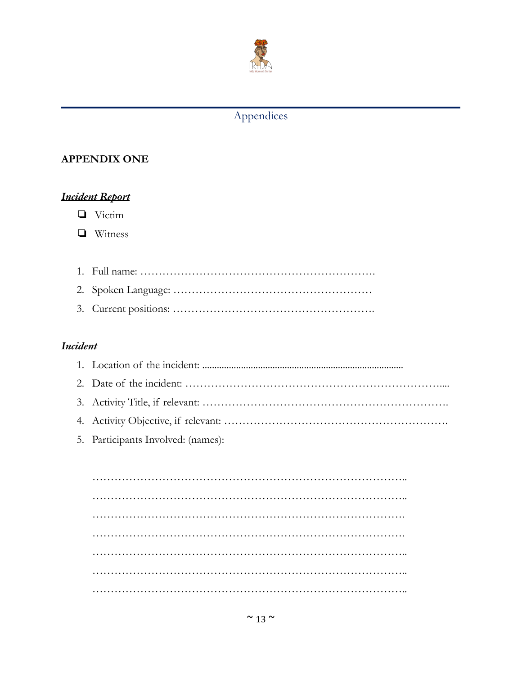

# Appendices

# **APPENDIX ONE**

#### *Incident Report*

- ❏ Victim
- ❏ Witness
- 1. Full name: ……………………………………………………….
- 2. Spoken Language: ………………………………………………
- 3. Current positions: ……………………………………………….

#### *Incident*

| 5. Participants Involved: (names): |
|------------------------------------|

………………………………………………………………………….. ………………………………………………………………………….. …………………………………………………………………………. …………………………………………………………………………. ………………………………………………………………………….. ………………………………………………………………………….. …………………………………………………………………………..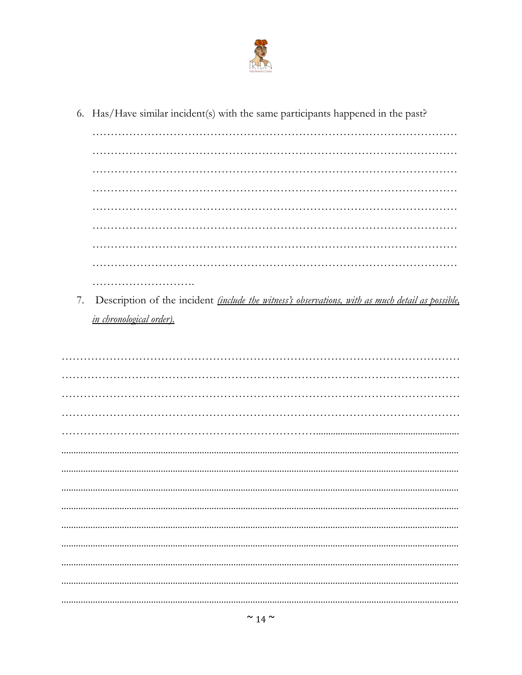

6. Has/Have similar incident(s) with the same participants happened in the past?

7. Description of the incident *(include the witness's observations, with as much detail as possible,* in chronological order).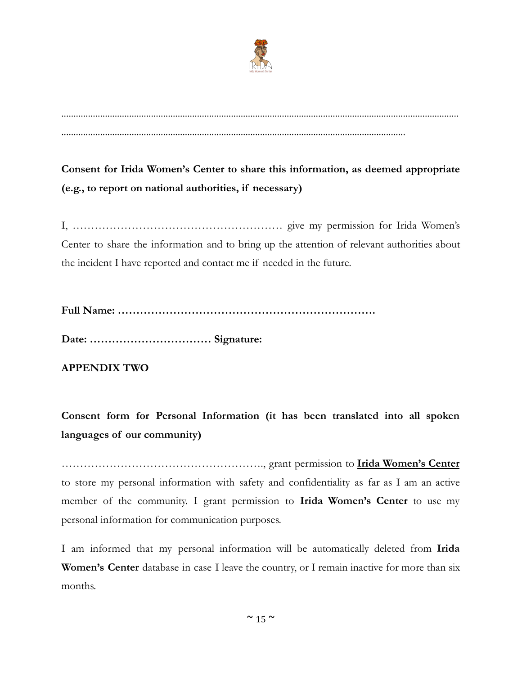

.................................................................................................................................................................... ..............................................................................................................................................

**Consent for Irida Women's Center to share this information, as deemed appropriate (e.g., to report on national authorities, if necessary)**

I, ………………………………………………… give my permission for Irida Women's Center to share the information and to bring up the attention of relevant authorities about the incident I have reported and contact me if needed in the future.

**Full Name: …………………………………………………………….**

**Date: …………………………… Signature:**

**APPENDIX TWO**

**Consent form for Personal Information (it has been translated into all spoken languages of our community)**

………………………………………………., grant permission to **Irida Women's Center** to store my personal information with safety and confidentiality as far as I am an active member of the community. I grant permission to **Irida Women's Center** to use my personal information for communication purposes.

I am informed that my personal information will be automatically deleted from **Irida Women's Center** database in case I leave the country, or I remain inactive for more than six months.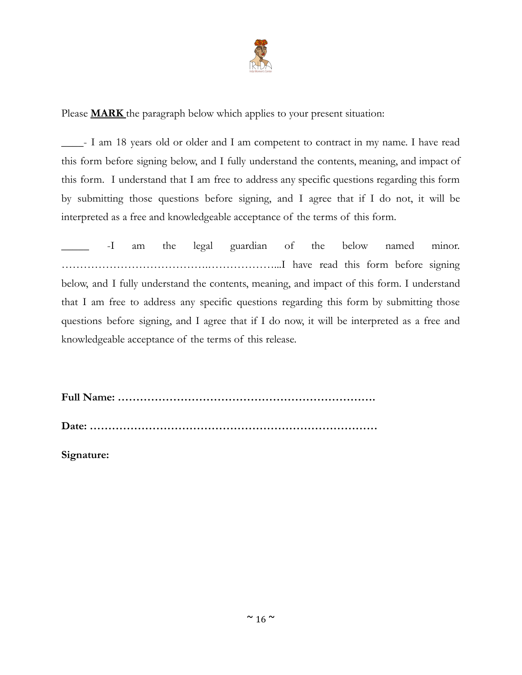

Please **MARK** the paragraph below which applies to your present situation:

\_\_\_\_- I am 18 years old or older and I am competent to contract in my name. I have read this form before signing below, and I fully understand the contents, meaning, and impact of this form. I understand that I am free to address any specific questions regarding this form by submitting those questions before signing, and I agree that if I do not, it will be interpreted as a free and knowledgeable acceptance of the terms of this form.

\_\_\_\_\_ -I am the legal guardian of the below named minor. ………………………………….………………...I have read this form before signing below, and I fully understand the contents, meaning, and impact of this form. I understand that I am free to address any specific questions regarding this form by submitting those questions before signing, and I agree that if I do now, it will be interpreted as a free and knowledgeable acceptance of the terms of this release.

**Full Name: …………………………………………………………….**

**Date: ……………………………………………………………………**

**Signature:**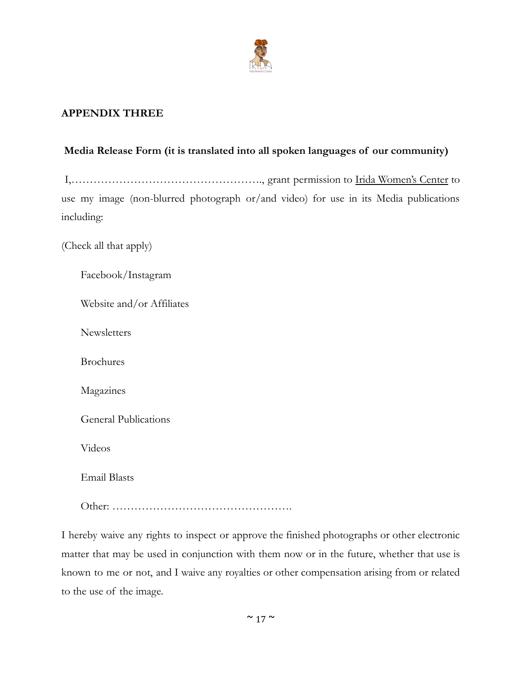

#### **APPENDIX THREE**

#### **Media Release Form (it is translated into all spoken languages of our community)**

I,……………………………………………., grant permission to Irida Women's Center to use my image (non-blurred photograph or/and video) for use in its Media publications including:

(Check all that apply)

Facebook/Instagram

Website and/or Affiliates

**Newsletters** 

Brochures

Magazines

General Publications

Videos

Email Blasts

Other: ………………………………………….

I hereby waive any rights to inspect or approve the finished photographs or other electronic matter that may be used in conjunction with them now or in the future, whether that use is known to me or not, and I waive any royalties or other compensation arising from or related to the use of the image.